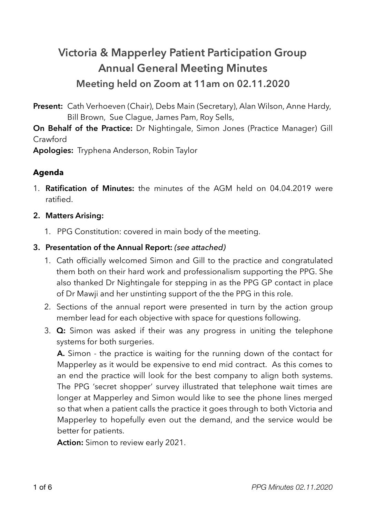# **Victoria & Mapperley Patient Participation Group Annual General Meeting Minutes Meeting held on Zoom at 11am on 02.11.2020**

**Present:** Cath Verhoeven (Chair), Debs Main (Secretary), Alan Wilson, Anne Hardy, Bill Brown, Sue Clague, James Pam, Roy Sells,

**On Behalf of the Practice:** Dr Nightingale, Simon Jones (Practice Manager) Gill Crawford

**Apologies:** Tryphena Anderson, Robin Taylor

## **Agenda**

1. **Ratification of Minutes:** the minutes of the AGM held on 04.04.2019 were ratified.

## **2. Matters Arising:**

1. PPG Constitution: covered in main body of the meeting.

## **3. Presentation of the Annual Report:** *(see attached)*

- 1. Cath officially welcomed Simon and Gill to the practice and congratulated them both on their hard work and professionalism supporting the PPG. She also thanked Dr Nightingale for stepping in as the PPG GP contact in place of Dr Mawji and her unstinting support of the the PPG in this role.
- 2. Sections of the annual report were presented in turn by the action group member lead for each objective with space for questions following.
- 3. **Q:** Simon was asked if their was any progress in uniting the telephone systems for both surgeries.

**A.** Simon - the practice is waiting for the running down of the contact for Mapperley as it would be expensive to end mid contract. As this comes to an end the practice will look for the best company to align both systems. The PPG 'secret shopper' survey illustrated that telephone wait times are longer at Mapperley and Simon would like to see the phone lines merged so that when a patient calls the practice it goes through to both Victoria and Mapperley to hopefully even out the demand, and the service would be better for patients.

**Action:** Simon to review early 2021.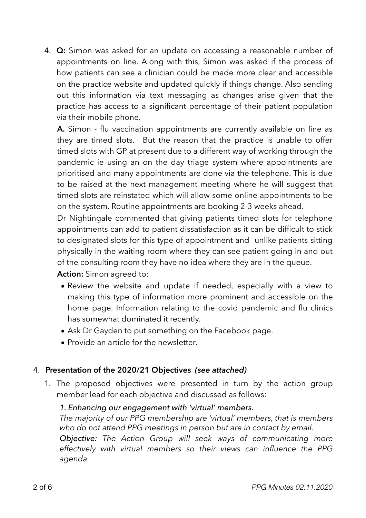4. **Q:** Simon was asked for an update on accessing a reasonable number of appointments on line. Along with this, Simon was asked if the process of how patients can see a clinician could be made more clear and accessible on the practice website and updated quickly if things change. Also sending out this information via text messaging as changes arise given that the practice has access to a significant percentage of their patient population via their mobile phone.

**A.** Simon - flu vaccination appointments are currently available on line as they are timed slots. But the reason that the practice is unable to offer timed slots with GP at present due to a different way of working through the pandemic ie using an on the day triage system where appointments are prioritised and many appointments are done via the telephone. This is due to be raised at the next management meeting where he will suggest that timed slots are reinstated which will allow some online appointments to be on the system. Routine appointments are booking 2-3 weeks ahead.

Dr Nightingale commented that giving patients timed slots for telephone appointments can add to patient dissatisfaction as it can be difficult to stick to designated slots for this type of appointment and unlike patients sitting physically in the waiting room where they can see patient going in and out of the consulting room they have no idea where they are in the queue.

**Action:** Simon agreed to:

- Review the website and update if needed, especially with a view to making this type of information more prominent and accessible on the home page. Information relating to the covid pandemic and flu clinics has somewhat dominated it recently.
- Ask Dr Gayden to put something on the Facebook page.
- Provide an article for the newsletter.

## 4. **Presentation of the 2020/21 Objectives** *(see attached)*

1. The proposed objectives were presented in turn by the action group member lead for each objective and discussed as follows:

#### *1. Enhancing our engagement with 'virtual' members.*

*The majority of our PPG membership are 'virtual' members, that is members who do not attend PPG meetings in person but are in contact by email.* 

*Objective: The Action Group will seek ways of communicating more effectively with virtual members so their views can influence the PPG agenda.*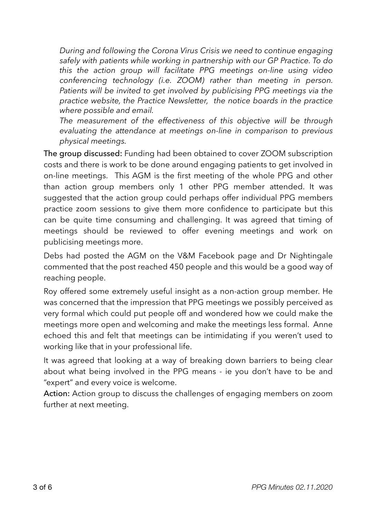*During and following the Corona Virus Crisis we need to continue engaging safely with patients while working in partnership with our GP Practice. To do this the action group will facilitate PPG meetings on-line using video conferencing technology (i.e. ZOOM) rather than meeting in person. Patients will be invited to get involved by publicising PPG meetings via the practice website, the Practice Newsletter, the notice boards in the practice where possible and email.* 

*The measurement of the effectiveness of this objective will be through evaluating the attendance at meetings on-line in comparison to previous physical meetings.* 

The group discussed: Funding had been obtained to cover ZOOM subscription costs and there is work to be done around engaging patients to get involved in on-line meetings. This AGM is the first meeting of the whole PPG and other than action group members only 1 other PPG member attended. It was suggested that the action group could perhaps offer individual PPG members practice zoom sessions to give them more confidence to participate but this can be quite time consuming and challenging. It was agreed that timing of meetings should be reviewed to offer evening meetings and work on publicising meetings more.

Debs had posted the AGM on the V&M Facebook page and Dr Nightingale commented that the post reached 450 people and this would be a good way of reaching people.

Roy offered some extremely useful insight as a non-action group member. He was concerned that the impression that PPG meetings we possibly perceived as very formal which could put people off and wondered how we could make the meetings more open and welcoming and make the meetings less formal. Anne echoed this and felt that meetings can be intimidating if you weren't used to working like that in your professional life.

It was agreed that looking at a way of breaking down barriers to being clear about what being involved in the PPG means - ie you don't have to be and "expert" and every voice is welcome.

Action: Action group to discuss the challenges of engaging members on zoom further at next meeting.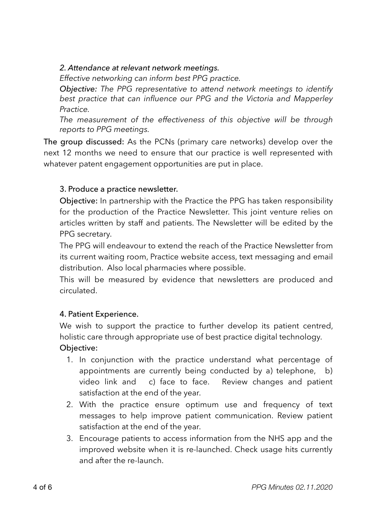#### *2. Attendance at relevant network meetings.*

*Effective networking can inform best PPG practice.* 

*Objective: The PPG representative to attend network meetings to identify best practice that can influence our PPG and the Victoria and Mapperley Practice.* 

*The measurement of the effectiveness of this objective will be through reports to PPG meetings.* 

The group discussed: As the PCNs (primary care networks) develop over the next 12 months we need to ensure that our practice is well represented with whatever patent engagement opportunities are put in place.

#### 3. Produce a practice newsletter.

Objective: In partnership with the Practice the PPG has taken responsibility for the production of the Practice Newsletter. This joint venture relies on articles written by staff and patients. The Newsletter will be edited by the PPG secretary.

The PPG will endeavour to extend the reach of the Practice Newsletter from its current waiting room, Practice website access, text messaging and email distribution. Also local pharmacies where possible.

This will be measured by evidence that newsletters are produced and circulated.

## 4. Patient Experience.

We wish to support the practice to further develop its patient centred, holistic care through appropriate use of best practice digital technology. Objective:

- 1. In conjunction with the practice understand what percentage of appointments are currently being conducted by a) telephone, b) video link and c) face to face. Review changes and patient satisfaction at the end of the year.
- 2. With the practice ensure optimum use and frequency of text messages to help improve patient communication. Review patient satisfaction at the end of the year.
- 3. Encourage patients to access information from the NHS app and the improved website when it is re-launched. Check usage hits currently and after the re-launch.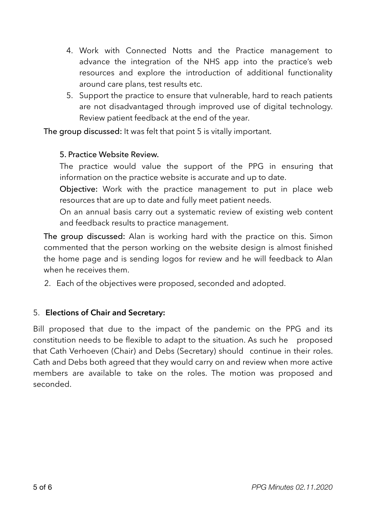- 4. Work with Connected Notts and the Practice management to advance the integration of the NHS app into the practice's web resources and explore the introduction of additional functionality around care plans, test results etc.
- 5. Support the practice to ensure that vulnerable, hard to reach patients are not disadvantaged through improved use of digital technology. Review patient feedback at the end of the year.

The group discussed: It was felt that point 5 is vitally important.

#### 5. Practice Website Review.

The practice would value the support of the PPG in ensuring that information on the practice website is accurate and up to date.

Objective: Work with the practice management to put in place web resources that are up to date and fully meet patient needs.

On an annual basis carry out a systematic review of existing web content and feedback results to practice management.

The group discussed: Alan is working hard with the practice on this. Simon commented that the person working on the website design is almost finished the home page and is sending logos for review and he will feedback to Alan when he receives them.

2. Each of the objectives were proposed, seconded and adopted.

#### 5. **Elections of Chair and Secretary:**

Bill proposed that due to the impact of the pandemic on the PPG and its constitution needs to be flexible to adapt to the situation. As such he proposed that Cath Verhoeven (Chair) and Debs (Secretary) should continue in their roles. Cath and Debs both agreed that they would carry on and review when more active members are available to take on the roles. The motion was proposed and seconded.